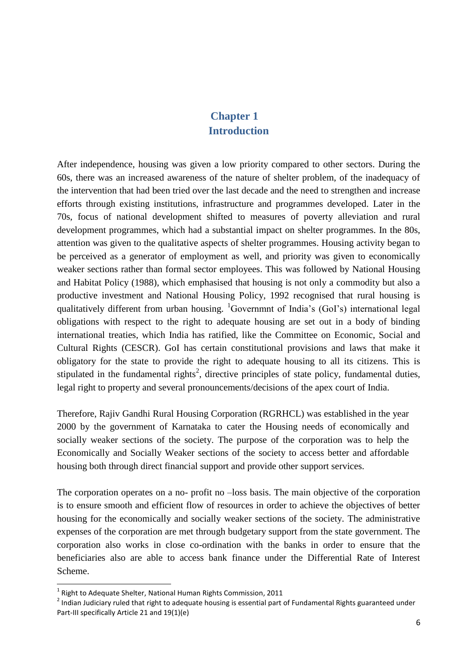## **Chapter 1 Introduction**

After independence, housing was given a low priority compared to other sectors. During the 60s, there was an increased awareness of the nature of shelter problem, of the inadequacy of the intervention that had been tried over the last decade and the need to strengthen and increase efforts through existing institutions, infrastructure and programmes developed. Later in the 70s, focus of national development shifted to measures of poverty alleviation and rural development programmes, which had a substantial impact on shelter programmes. In the 80s, attention was given to the qualitative aspects of shelter programmes. Housing activity began to be perceived as a generator of employment as well, and priority was given to economically weaker sections rather than formal sector employees. This was followed by National Housing and Habitat Policy (1988), which emphasised that housing is not only a commodity but also a productive investment and National Housing Policy, 1992 recognised that rural housing is qualitatively different from urban housing.  ${}^{1}$ Governmnt of India's (GoI's) international legal obligations with respect to the right to adequate housing are set out in a body of binding international treaties, which India has ratified, like the Committee on Economic, Social and Cultural Rights (CESCR). GoI has certain constitutional provisions and laws that make it obligatory for the state to provide the right to adequate housing to all its citizens. This is stipulated in the fundamental rights<sup>2</sup>, directive principles of state policy, fundamental duties, legal right to property and several pronouncements/decisions of the apex court of India.

Therefore, Rajiv Gandhi Rural Housing Corporation (RGRHCL) was established in the year 2000 by the government of Karnataka to cater the Housing needs of economically and socially weaker sections of the society. The purpose of the corporation was to help the Economically and Socially Weaker sections of the society to access better and affordable housing both through direct financial support and provide other support services.

The corporation operates on a no- profit no –loss basis. The main objective of the corporation is to ensure smooth and efficient flow of resources in order to achieve the objectives of better housing for the economically and socially weaker sections of the society. The administrative expenses of the corporation are met through budgetary support from the state government. The corporation also works in close co-ordination with the banks in order to ensure that the beneficiaries also are able to access bank finance under the Differential Rate of Interest Scheme.

 $\overline{a}$ 

 $^1$  Right to Adequate Shelter, National Human Rights Commission, 2011

<sup>&</sup>lt;sup>2</sup> Indian Judiciary ruled that right to adequate housing is essential part of Fundamental Rights guaranteed under Part-III specifically Article 21 and 19(1)(e)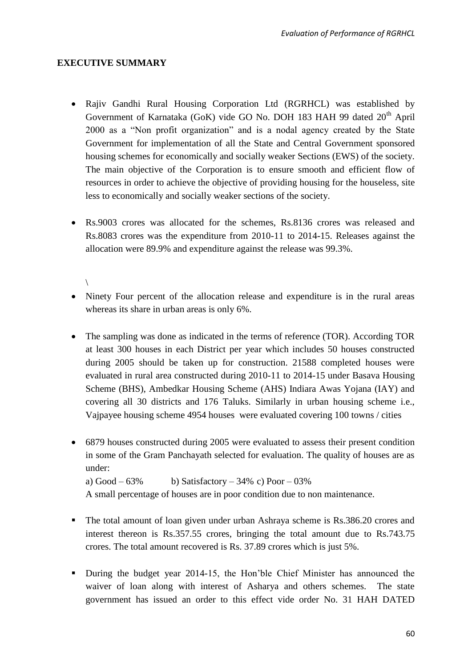## **EXECUTIVE SUMMARY**

- Rajiv Gandhi Rural Housing Corporation Ltd (RGRHCL) was established by Government of Karnataka (GoK) vide GO No. DOH 183 HAH 99 dated 20<sup>th</sup> April 2000 as a "Non profit organization" and is a nodal agency created by the State Government for implementation of all the State and Central Government sponsored housing schemes for economically and socially weaker Sections (EWS) of the society. The main objective of the Corporation is to ensure smooth and efficient flow of resources in order to achieve the objective of providing housing for the houseless, site less to economically and socially weaker sections of the society.
- Rs.9003 crores was allocated for the schemes, Rs.8136 crores was released and Rs.8083 crores was the expenditure from 2010-11 to 2014-15. Releases against the allocation were 89.9% and expenditure against the release was 99.3%.

## \

- Ninety Four percent of the allocation release and expenditure is in the rural areas whereas its share in urban areas is only 6%.
- The sampling was done as indicated in the terms of reference (TOR). According TOR at least 300 houses in each District per year which includes 50 houses constructed during 2005 should be taken up for construction. 21588 completed houses were evaluated in rural area constructed during 2010-11 to 2014-15 under Basava Housing Scheme (BHS), Ambedkar Housing Scheme (AHS) Indiara Awas Yojana (IAY) and covering all 30 districts and 176 Taluks. Similarly in urban housing scheme i.e., Vajpayee housing scheme 4954 houses were evaluated covering 100 towns / cities
- 6879 houses constructed during 2005 were evaluated to assess their present condition in some of the Gram Panchayath selected for evaluation. The quality of houses are as under:

```
a) Good – 63\% b) Satisfactory – 34\% c) Poor – 03\%
```
A small percentage of houses are in poor condition due to non maintenance.

- **The total amount of loan given under urban Ashraya scheme is Rs.386.20 crores and** interest thereon is Rs.357.55 crores, bringing the total amount due to Rs.743.75 crores. The total amount recovered is Rs. 37.89 crores which is just 5%.
- During the budget year 2014-15, the Hon'ble Chief Minister has announced the waiver of loan along with interest of Asharya and others schemes. The state government has issued an order to this effect vide order No. 31 HAH DATED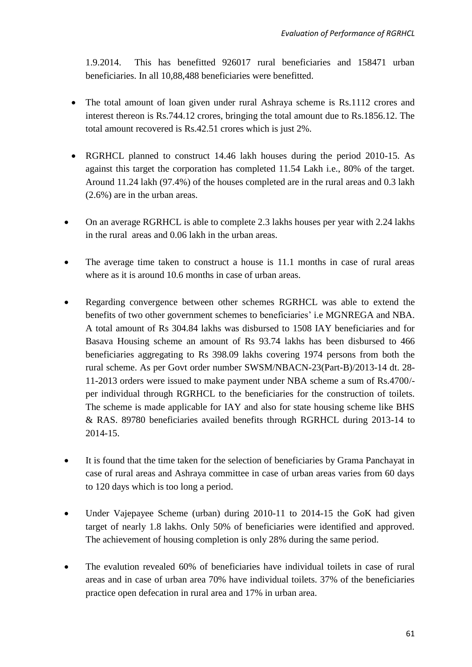1.9.2014. This has benefitted 926017 rural beneficiaries and 158471 urban beneficiaries. In all 10,88,488 beneficiaries were benefitted.

- The total amount of loan given under rural Ashraya scheme is Rs.1112 crores and interest thereon is Rs.744.12 crores, bringing the total amount due to Rs.1856.12. The total amount recovered is Rs.42.51 crores which is just 2%.
- RGRHCL planned to construct 14.46 lakh houses during the period 2010-15. As against this target the corporation has completed 11.54 Lakh i.e., 80% of the target. Around 11.24 lakh (97.4%) of the houses completed are in the rural areas and 0.3 lakh (2.6%) are in the urban areas.
- On an average RGRHCL is able to complete 2.3 lakhs houses per year with 2.24 lakhs in the rural areas and 0.06 lakh in the urban areas.
- The average time taken to construct a house is 11.1 months in case of rural areas where as it is around 10.6 months in case of urban areas.
- Regarding convergence between other schemes RGRHCL was able to extend the benefits of two other government schemes to beneficiaries' i.e MGNREGA and NBA. A total amount of Rs 304.84 lakhs was disbursed to 1508 IAY beneficiaries and for Basava Housing scheme an amount of Rs 93.74 lakhs has been disbursed to 466 beneficiaries aggregating to Rs 398.09 lakhs covering 1974 persons from both the rural scheme. As per Govt order number SWSM/NBACN-23(Part-B)/2013-14 dt. 28- 11-2013 orders were issued to make payment under NBA scheme a sum of Rs.4700/ per individual through RGRHCL to the beneficiaries for the construction of toilets. The scheme is made applicable for IAY and also for state housing scheme like BHS & RAS. 89780 beneficiaries availed benefits through RGRHCL during 2013-14 to 2014-15.
- It is found that the time taken for the selection of beneficiaries by Grama Panchayat in case of rural areas and Ashraya committee in case of urban areas varies from 60 days to 120 days which is too long a period.
- Under Vajepayee Scheme (urban) during 2010-11 to 2014-15 the GoK had given target of nearly 1.8 lakhs. Only 50% of beneficiaries were identified and approved. The achievement of housing completion is only 28% during the same period.
- The evalution revealed 60% of beneficiaries have individual toilets in case of rural areas and in case of urban area 70% have individual toilets. 37% of the beneficiaries practice open defecation in rural area and 17% in urban area.